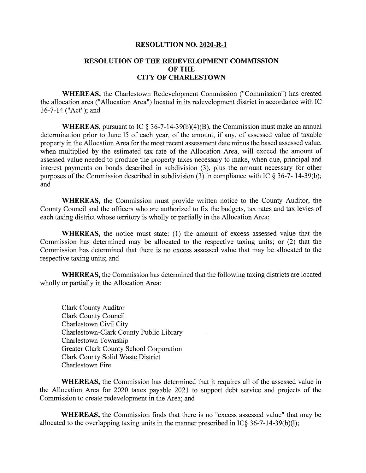## **RESOLUTION NO. 2020-R-l**

## **RESOLUTION OF THE REDEVELOPMENT COMMISSION OF THE CITY OF CHARLESTOWN**

**WHEREAS,** the Charlestown Redevelopment Commission ("Commission") has created the allocation area ("Allocation Area") located in its redevelopment district in accordance with IC 36-7-14 ("Act"); and

**WHEREAS,** pursuant to IC § 36-7-14-39(b)(4)(B), the Commission must make an annual determination prior to June <sup>15</sup> of each year, of the amount, if any, of assessed value of taxable property in the Allocation Area for the most recent assessment date minus the based assessed value, when multiplied by the estimated tax rate of the Allocation Area, will exceed the amount of assessed value needed to produce the property taxes necessary to make, when due, principal and interest payments on bonds described in subdivision (3), plus the amount necessary for other purposes of the Commission described in subdivision (3) in compliance with IC  $\S 36-7-14-39(b)$ ; and

**WHEREAS,** the Commission must provide written notice to the County Auditor, the County Council and the officers who are authorized to fix the budgets, tax rates and tax levies of each taxing district whose territory is wholly or partially in the Allocation Area;

**WHEREAS,** the notice must state: (1) the amount of excess assessed value that the Commission has determined may be allocated to the respective taxing units; or (2) that the Commission has determined that there is no excess assessed value that may be allocated to the respective taxing units; and

**WHEREAS,** the Commission has determined that the following taxing districts are located wholly or partially in the Allocation Area:

Clark County Auditor Clark County Council Charlestown Civil City Charlestown-Clark County Public Library Charlestown Township Greater Clark County School Corporation Clark County Solid Waste District Charlestown Fire

**WHEREAS,** the Commission has determined that it requires all of the assessed value in the Allocation Area for 2020 taxes payable 2021 to support debt service and projects of the Commission to create redevelopment in the Area; and

**WHEREAS,** the Commission finds that there is no "excess assessed value" that may be allocated to the overlapping taxing units in the manner prescribed in IC§  $36-7-14-39(b)(1)$ ;